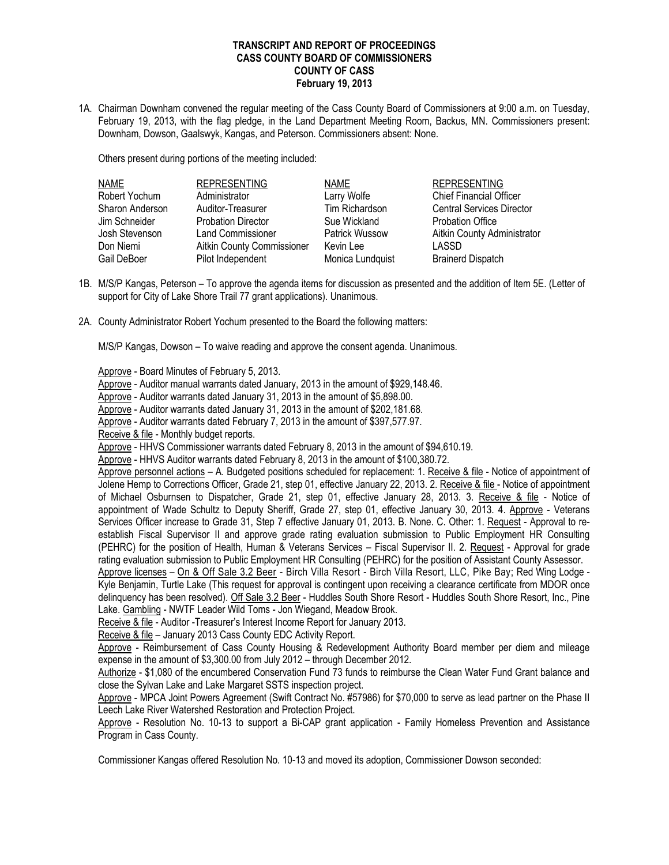## **TRANSCRIPT AND REPORT OF PROCEEDINGS CASS COUNTY BOARD OF COMMISSIONERS COUNTY OF CASS February 19, 2013**

1A. Chairman Downham convened the regular meeting of the Cass County Board of Commissioners at 9:00 a.m. on Tuesday, February 19, 2013, with the flag pledge, in the Land Department Meeting Room, Backus, MN. Commissioners present: Downham, Dowson, Gaalswyk, Kangas, and Peterson. Commissioners absent: None.

Others present during portions of the meeting included:

| <b>NAME</b>     | <b>REPRESENTING</b>        | NAME             | <b>REPRESENTING</b>              |
|-----------------|----------------------------|------------------|----------------------------------|
| Robert Yochum   | Administrator              | Larry Wolfe      | <b>Chief Financial Officer</b>   |
| Sharon Anderson | Auditor-Treasurer          | Tim Richardson   | <b>Central Services Director</b> |
| Jim Schneider   | <b>Probation Director</b>  | Sue Wickland     | <b>Probation Office</b>          |
| Josh Stevenson  | <b>Land Commissioner</b>   | Patrick Wussow   | Aitkin County Administrator      |
| Don Niemi       | Aitkin County Commissioner | Kevin Lee        | LASSD                            |
| Gail DeBoer     | Pilot Independent          | Monica Lundquist | <b>Brainerd Dispatch</b>         |

- 1B. M/S/P Kangas, Peterson To approve the agenda items for discussion as presented and the addition of Item 5E. (Letter of support for City of Lake Shore Trail 77 grant applications). Unanimous.
- 2A. County Administrator Robert Yochum presented to the Board the following matters:

M/S/P Kangas, Dowson – To waive reading and approve the consent agenda. Unanimous.

Approve - Board Minutes of February 5, 2013.

Approve - Auditor manual warrants dated January, 2013 in the amount of \$929,148.46.

Approve - Auditor warrants dated January 31, 2013 in the amount of \$5,898.00.

Approve - Auditor warrants dated January 31, 2013 in the amount of \$202,181.68.

Approve - Auditor warrants dated February 7, 2013 in the amount of \$397,577.97.

Receive & file - Monthly budget reports.

Approve - HHVS Commissioner warrants dated February 8, 2013 in the amount of \$94,610.19.

Approve - HHVS Auditor warrants dated February 8, 2013 in the amount of \$100,380.72.

Approve personnel actions – A. Budgeted positions scheduled for replacement: 1. Receive & file - Notice of appointment of Jolene Hemp to Corrections Officer, Grade 21, step 01, effective January 22, 2013. 2. Receive & file - Notice of appointment of Michael Osburnsen to Dispatcher, Grade 21, step 01, effective January 28, 2013. 3. Receive & file - Notice of appointment of Wade Schultz to Deputy Sheriff, Grade 27, step 01, effective January 30, 2013. 4. Approve - Veterans Services Officer increase to Grade 31, Step 7 effective January 01, 2013. B. None. C. Other: 1. Request - Approval to reestablish Fiscal Supervisor II and approve grade rating evaluation submission to Public Employment HR Consulting (PEHRC) for the position of Health, Human & Veterans Services – Fiscal Supervisor II. 2. Request - Approval for grade rating evaluation submission to Public Employment HR Consulting (PEHRC) for the position of Assistant County Assessor.

Approve licenses – On & Off Sale 3.2 Beer - Birch Villa Resort - Birch Villa Resort, LLC, Pike Bay; Red Wing Lodge - Kyle Benjamin, Turtle Lake (This request for approval is contingent upon receiving a clearance certificate from MDOR once delinquency has been resolved). Off Sale 3.2 Beer - Huddles South Shore Resort - Huddles South Shore Resort, Inc., Pine Lake. Gambling - NWTF Leader Wild Toms - Jon Wiegand, Meadow Brook.

Receive & file - Auditor -Treasurer's Interest Income Report for January 2013.

Receive & file – January 2013 Cass County EDC Activity Report.

 Approve - Reimbursement of Cass County Housing & Redevelopment Authority Board member per diem and mileage expense in the amount of \$3,300.00 from July 2012 – through December 2012.

Authorize - \$1,080 of the encumbered Conservation Fund 73 funds to reimburse the Clean Water Fund Grant balance and close the Sylvan Lake and Lake Margaret SSTS inspection project.

 Approve - MPCA Joint Powers Agreement (Swift Contract No. #57986) for \$70,000 to serve as lead partner on the Phase II Leech Lake River Watershed Restoration and Protection Project.

Approve - Resolution No. 10-13 to support a Bi-CAP grant application - Family Homeless Prevention and Assistance Program in Cass County.

Commissioner Kangas offered Resolution No. 10-13 and moved its adoption, Commissioner Dowson seconded: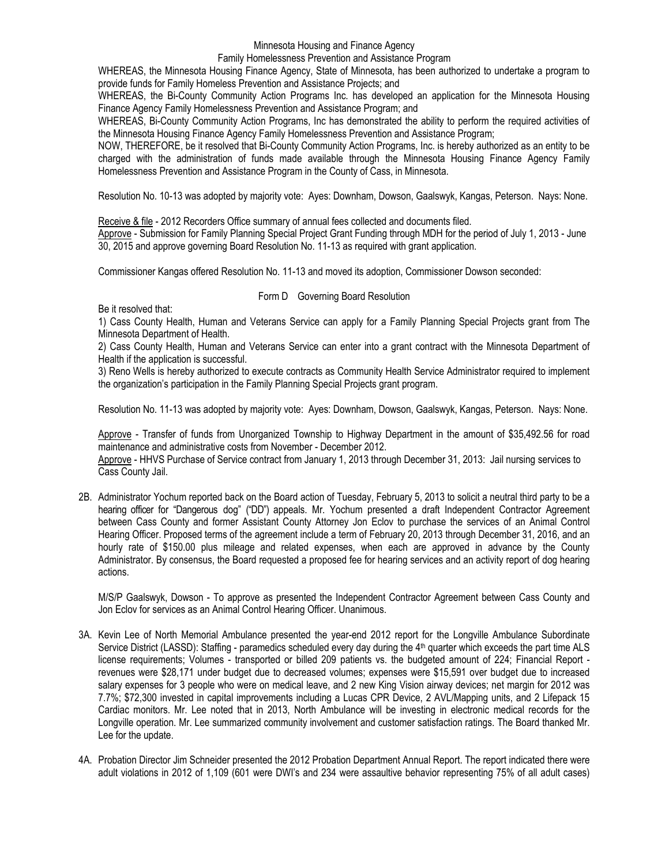Minnesota Housing and Finance Agency

## Family Homelessness Prevention and Assistance Program

WHEREAS, the Minnesota Housing Finance Agency, State of Minnesota, has been authorized to undertake a program to provide funds for Family Homeless Prevention and Assistance Projects; and

WHEREAS, the Bi-County Community Action Programs Inc. has developed an application for the Minnesota Housing Finance Agency Family Homelessness Prevention and Assistance Program; and

WHEREAS, Bi-County Community Action Programs, Inc has demonstrated the ability to perform the required activities of the Minnesota Housing Finance Agency Family Homelessness Prevention and Assistance Program;

NOW, THEREFORE, be it resolved that Bi-County Community Action Programs, Inc. is hereby authorized as an entity to be charged with the administration of funds made available through the Minnesota Housing Finance Agency Family Homelessness Prevention and Assistance Program in the County of Cass, in Minnesota.

Resolution No. 10-13 was adopted by majority vote: Ayes: Downham, Dowson, Gaalswyk, Kangas, Peterson. Nays: None.

Receive & file - 2012 Recorders Office summary of annual fees collected and documents filed.

Approve - Submission for Family Planning Special Project Grant Funding through MDH for the period of July 1, 2013 - June 30, 2015 and approve governing Board Resolution No. 11-13 as required with grant application.

Commissioner Kangas offered Resolution No. 11-13 and moved its adoption, Commissioner Dowson seconded:

## Form D Governing Board Resolution

Be it resolved that:

1) Cass County Health, Human and Veterans Service can apply for a Family Planning Special Projects grant from The Minnesota Department of Health.

2) Cass County Health, Human and Veterans Service can enter into a grant contract with the Minnesota Department of Health if the application is successful.

3) Reno Wells is hereby authorized to execute contracts as Community Health Service Administrator required to implement the organization's participation in the Family Planning Special Projects grant program.

Resolution No. 11-13 was adopted by majority vote: Ayes: Downham, Dowson, Gaalswyk, Kangas, Peterson. Nays: None.

Approve - Transfer of funds from Unorganized Township to Highway Department in the amount of \$35,492.56 for road maintenance and administrative costs from November - December 2012.

Approve - HHVS Purchase of Service contract from January 1, 2013 through December 31, 2013: Jail nursing services to Cass County Jail.

2B. Administrator Yochum reported back on the Board action of Tuesday, February 5, 2013 to solicit a neutral third party to be a hearing officer for "Dangerous dog" ("DD") appeals. Mr. Yochum presented a draft Independent Contractor Agreement between Cass County and former Assistant County Attorney Jon Eclov to purchase the services of an Animal Control Hearing Officer. Proposed terms of the agreement include a term of February 20, 2013 through December 31, 2016, and an hourly rate of \$150.00 plus mileage and related expenses, when each are approved in advance by the County Administrator. By consensus, the Board requested a proposed fee for hearing services and an activity report of dog hearing actions.

M/S/P Gaalswyk, Dowson - To approve as presented the Independent Contractor Agreement between Cass County and Jon Eclov for services as an Animal Control Hearing Officer. Unanimous.

- 3A. Kevin Lee of North Memorial Ambulance presented the year-end 2012 report for the Longville Ambulance Subordinate Service District (LASSD): Staffing - paramedics scheduled every day during the 4<sup>th</sup> quarter which exceeds the part time ALS license requirements; Volumes - transported or billed 209 patients vs. the budgeted amount of 224; Financial Report revenues were \$28,171 under budget due to decreased volumes; expenses were \$15,591 over budget due to increased salary expenses for 3 people who were on medical leave, and 2 new King Vision airway devices; net margin for 2012 was 7.7%; \$72,300 invested in capital improvements including a Lucas CPR Device, 2 AVL/Mapping units, and 2 Lifepack 15 Cardiac monitors. Mr. Lee noted that in 2013, North Ambulance will be investing in electronic medical records for the Longville operation. Mr. Lee summarized community involvement and customer satisfaction ratings. The Board thanked Mr. Lee for the update.
- 4A. Probation Director Jim Schneider presented the 2012 Probation Department Annual Report. The report indicated there were adult violations in 2012 of 1,109 (601 were DWI's and 234 were assaultive behavior representing 75% of all adult cases)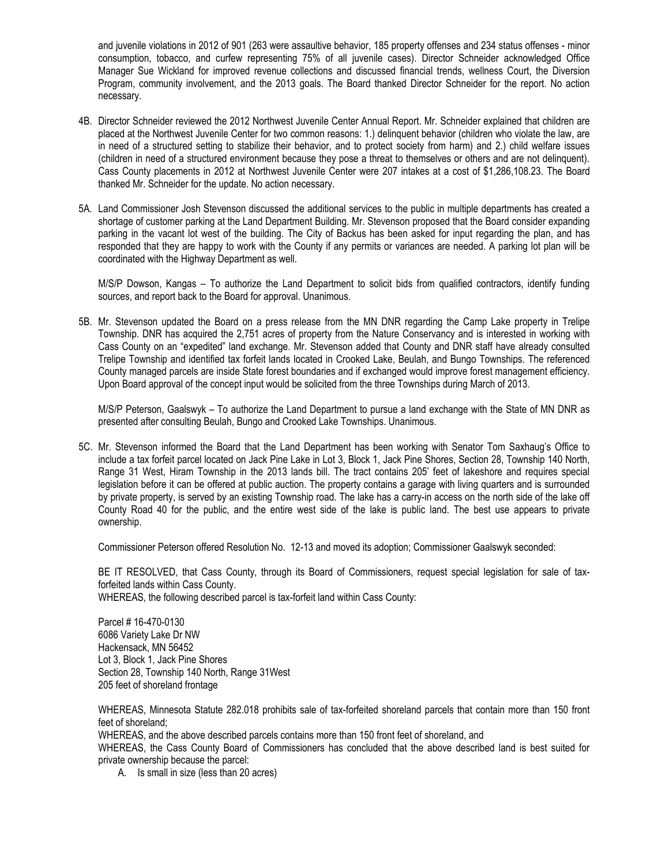and juvenile violations in 2012 of 901 (263 were assaultive behavior, 185 property offenses and 234 status offenses - minor consumption, tobacco, and curfew representing 75% of all juvenile cases). Director Schneider acknowledged Office Manager Sue Wickland for improved revenue collections and discussed financial trends, wellness Court, the Diversion Program, community involvement, and the 2013 goals. The Board thanked Director Schneider for the report. No action necessary.

- 4B. Director Schneider reviewed the 2012 Northwest Juvenile Center Annual Report. Mr. Schneider explained that children are placed at the Northwest Juvenile Center for two common reasons: 1.) delinquent behavior (children who violate the law, are in need of a structured setting to stabilize their behavior, and to protect society from harm) and 2.) child welfare issues (children in need of a structured environment because they pose a threat to themselves or others and are not delinquent). Cass County placements in 2012 at Northwest Juvenile Center were 207 intakes at a cost of \$1,286,108.23. The Board thanked Mr. Schneider for the update. No action necessary.
- 5A. Land Commissioner Josh Stevenson discussed the additional services to the public in multiple departments has created a shortage of customer parking at the Land Department Building. Mr. Stevenson proposed that the Board consider expanding parking in the vacant lot west of the building. The City of Backus has been asked for input regarding the plan, and has responded that they are happy to work with the County if any permits or variances are needed. A parking lot plan will be coordinated with the Highway Department as well.

M/S/P Dowson, Kangas – To authorize the Land Department to solicit bids from qualified contractors, identify funding sources, and report back to the Board for approval. Unanimous.

5B. Mr. Stevenson updated the Board on a press release from the MN DNR regarding the Camp Lake property in Trelipe Township. DNR has acquired the 2,751 acres of property from the Nature Conservancy and is interested in working with Cass County on an "expedited" land exchange. Mr. Stevenson added that County and DNR staff have already consulted Trelipe Township and identified tax forfeit lands located in Crooked Lake, Beulah, and Bungo Townships. The referenced County managed parcels are inside State forest boundaries and if exchanged would improve forest management efficiency. Upon Board approval of the concept input would be solicited from the three Townships during March of 2013.

M/S/P Peterson, Gaalswyk – To authorize the Land Department to pursue a land exchange with the State of MN DNR as presented after consulting Beulah, Bungo and Crooked Lake Townships. Unanimous.

5C. Mr. Stevenson informed the Board that the Land Department has been working with Senator Tom Saxhaug's Office to include a tax forfeit parcel located on Jack Pine Lake in Lot 3, Block 1, Jack Pine Shores, Section 28, Township 140 North, Range 31 West, Hiram Township in the 2013 lands bill. The tract contains 205' feet of lakeshore and requires special legislation before it can be offered at public auction. The property contains a garage with living quarters and is surrounded by private property, is served by an existing Township road. The lake has a carry-in access on the north side of the lake off County Road 40 for the public, and the entire west side of the lake is public land. The best use appears to private ownership.

Commissioner Peterson offered Resolution No. 12-13 and moved its adoption; Commissioner Gaalswyk seconded:

BE IT RESOLVED, that Cass County, through its Board of Commissioners, request special legislation for sale of taxforfeited lands within Cass County.

WHEREAS, the following described parcel is tax-forfeit land within Cass County:

Parcel # 16-470-0130 6086 Variety Lake Dr NW Hackensack, MN 56452 Lot 3, Block 1, Jack Pine Shores Section 28, Township 140 North, Range 31West 205 feet of shoreland frontage

WHEREAS, Minnesota Statute 282.018 prohibits sale of tax-forfeited shoreland parcels that contain more than 150 front feet of shoreland;

WHEREAS, and the above described parcels contains more than 150 front feet of shoreland, and

WHEREAS, the Cass County Board of Commissioners has concluded that the above described land is best suited for private ownership because the parcel:

A. Is small in size (less than 20 acres)